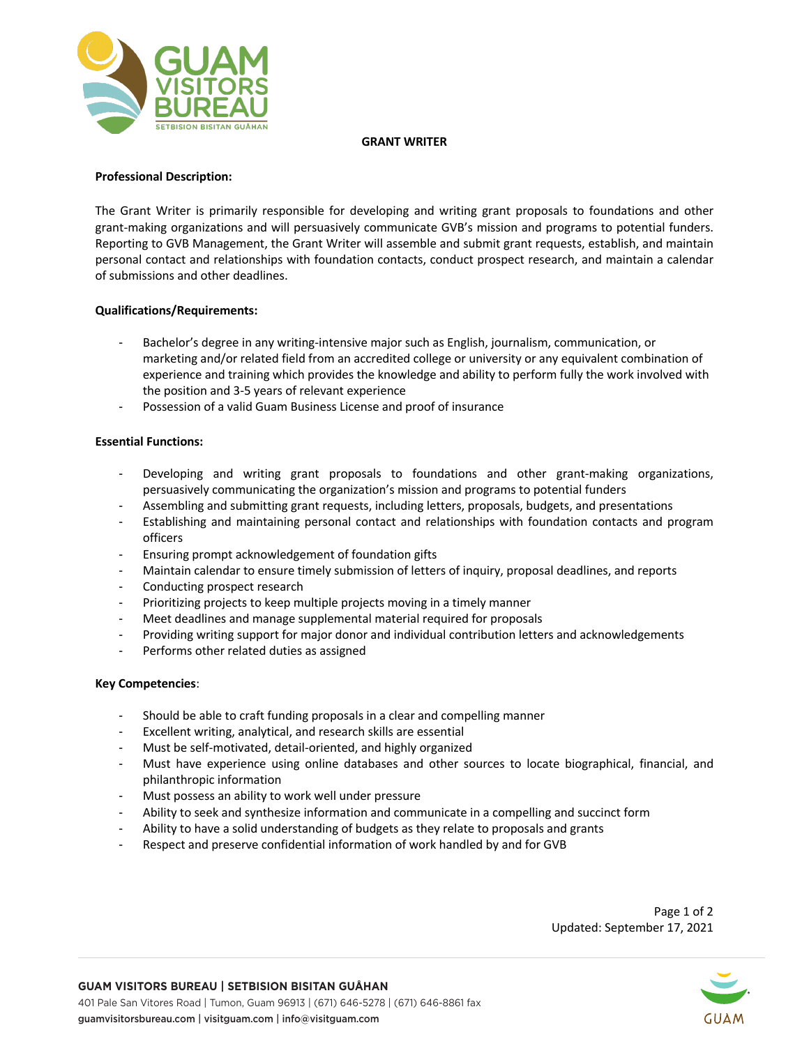

### **GRANT WRITER**

## **Professional Description:**

The Grant Writer is primarily responsible for developing and writing grant proposals to foundations and other grant-making organizations and will persuasively communicate GVB's mission and programs to potential funders. Reporting to GVB Management, the Grant Writer will assemble and submit grant requests, establish, and maintain personal contact and relationships with foundation contacts, conduct prospect research, and maintain a calendar of submissions and other deadlines.

### **Qualifications/Requirements:**

- Bachelor's degree in any writing-intensive major such as English, journalism, communication, or marketing and/or related field from an accredited college or university or any equivalent combination of experience and training which provides the knowledge and ability to perform fully the work involved with the position and 3-5 years of relevant experience
- Possession of a valid Guam Business License and proof of insurance

### **Essential Functions:**

- Developing and writing grant proposals to foundations and other grant-making organizations, persuasively communicating the organization's mission and programs to potential funders
- Assembling and submitting grant requests, including letters, proposals, budgets, and presentations
- Establishing and maintaining personal contact and relationships with foundation contacts and program officers
- Ensuring prompt acknowledgement of foundation gifts
- Maintain calendar to ensure timely submission of letters of inquiry, proposal deadlines, and reports
- Conducting prospect research
- Prioritizing projects to keep multiple projects moving in a timely manner
- Meet deadlines and manage supplemental material required for proposals
- Providing writing support for major donor and individual contribution letters and acknowledgements
- Performs other related duties as assigned

#### **Key Competencies**:

- Should be able to craft funding proposals in a clear and compelling manner
- Excellent writing, analytical, and research skills are essential
- Must be self-motivated, detail-oriented, and highly organized
- Must have experience using online databases and other sources to locate biographical, financial, and philanthropic information
- Must possess an ability to work well under pressure
- Ability to seek and synthesize information and communicate in a compelling and succinct form
- Ability to have a solid understanding of budgets as they relate to proposals and grants
- Respect and preserve confidential information of work handled by and for GVB